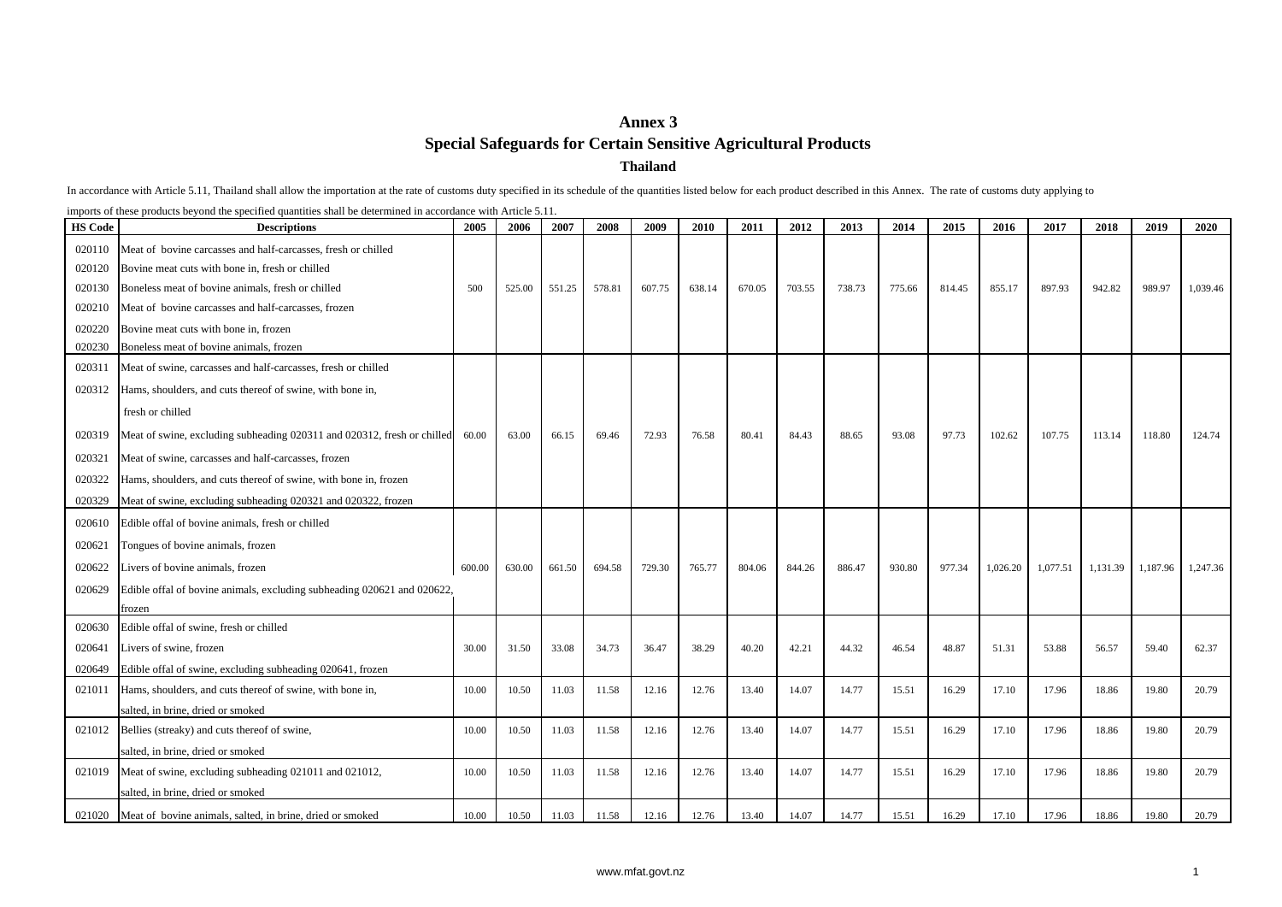## **Annex 3 ThailandSpecial Safeguards for Certain Sensitive Agricultural Products**

In accordance with Article 5.11, Thailand shall allow the importation at the rate of customs duty specified in its schedule of the quantities listed below for each product described in this Annex. The rate of customs duty

imports of these products beyond the specified quantities shall be determined in accordance with Article 5.11.

| <b>HS Code</b> | <b>Descriptions</b>                                                     | 2005   | 2006   | 2007   | 2008   | 2009   | 2010   | 2011   | 2012   | 2013   | 2014   | 2015   | 2016     | 2017     | 2018     | 2019     | 2020     |
|----------------|-------------------------------------------------------------------------|--------|--------|--------|--------|--------|--------|--------|--------|--------|--------|--------|----------|----------|----------|----------|----------|
| 020110         | Meat of bovine carcasses and half-carcasses, fresh or chilled           |        |        |        |        |        |        |        |        |        |        |        |          |          |          |          |          |
| 020120         | Bovine meat cuts with bone in, fresh or chilled                         |        |        |        |        |        |        |        |        |        |        |        |          |          |          |          |          |
| 020130         | Boneless meat of bovine animals, fresh or chilled                       | 500    | 525.00 | 551.25 | 578.81 | 607.75 | 638.14 | 670.05 | 703.55 | 738.73 | 775.66 | 814.45 | 855.17   | 897.93   | 942.82   | 989.97   | 1,039.46 |
| 020210         | Meat of bovine carcasses and half-carcasses, frozen                     |        |        |        |        |        |        |        |        |        |        |        |          |          |          |          |          |
| 020220         | Bovine meat cuts with bone in, frozen                                   |        |        |        |        |        |        |        |        |        |        |        |          |          |          |          |          |
| 020230         | Boneless meat of bovine animals, frozen                                 |        |        |        |        |        |        |        |        |        |        |        |          |          |          |          |          |
| 020311         | Meat of swine, carcasses and half-carcasses, fresh or chilled           |        |        |        |        |        |        |        |        |        |        |        |          |          |          |          |          |
| 020312         | Hams, shoulders, and cuts thereof of swine, with bone in,               |        |        |        |        |        |        |        |        |        |        |        |          |          |          |          |          |
|                | fresh or chilled                                                        |        |        |        |        |        |        |        |        |        |        |        |          |          |          |          |          |
| 020319         | Meat of swine, excluding subheading 020311 and 020312, fresh or chilled | 60.00  | 63.00  | 66.15  | 69.46  | 72.93  | 76.58  | 80.41  | 84.43  | 88.65  | 93.08  | 97.73  | 102.62   | 107.75   | 113.14   | 118.80   | 124.74   |
| 020321         | Meat of swine, carcasses and half-carcasses, frozen                     |        |        |        |        |        |        |        |        |        |        |        |          |          |          |          |          |
| 020322         | Hams, shoulders, and cuts thereof of swine, with bone in, frozen        |        |        |        |        |        |        |        |        |        |        |        |          |          |          |          |          |
| 020329         | Meat of swine, excluding subheading 020321 and 020322, frozen           |        |        |        |        |        |        |        |        |        |        |        |          |          |          |          |          |
| 020610         | Edible offal of bovine animals, fresh or chilled                        |        |        |        |        |        |        |        |        |        |        |        |          |          |          |          |          |
| 020621         | Tongues of bovine animals, frozen                                       |        |        |        |        |        |        |        |        |        |        |        |          |          |          |          |          |
| 020622         | Livers of bovine animals, frozen                                        | 600.00 | 630.00 | 661.50 | 694.58 | 729.30 | 765.77 | 804.06 | 844.26 | 886.47 | 930.80 | 977.34 | 1,026.20 | 1,077.51 | 1,131.39 | 1,187.96 | 1,247.36 |
| 020629         | Edible offal of bovine animals, excluding subheading 020621 and 020622, |        |        |        |        |        |        |        |        |        |        |        |          |          |          |          |          |
|                | frozen                                                                  |        |        |        |        |        |        |        |        |        |        |        |          |          |          |          |          |
| 020630         | Edible offal of swine, fresh or chilled                                 |        |        |        |        |        |        |        |        |        |        |        |          |          |          |          |          |
| 020641         | Livers of swine, frozen                                                 | 30.00  | 31.50  | 33.08  | 34.73  | 36.47  | 38.29  | 40.20  | 42.21  | 44.32  | 46.54  | 48.87  | 51.31    | 53.88    | 56.57    | 59.40    | 62.37    |
| 020649         | Edible offal of swine, excluding subheading 020641, frozen              |        |        |        |        |        |        |        |        |        |        |        |          |          |          |          |          |
| 021011         | Hams, shoulders, and cuts thereof of swine, with bone in,               | 10.00  | 10.50  | 11.03  | 11.58  | 12.16  | 12.76  | 13.40  | 14.07  | 14.77  | 15.51  | 16.29  | 17.10    | 17.96    | 18.86    | 19.80    | 20.79    |
|                | salted, in brine, dried or smoked                                       |        |        |        |        |        |        |        |        |        |        |        |          |          |          |          |          |
| 021012         | Bellies (streaky) and cuts thereof of swine,                            | 10.00  | 10.50  | 11.03  | 11.58  | 12.16  | 12.76  | 13.40  | 14.07  | 14.77  | 15.51  | 16.29  | 17.10    | 17.96    | 18.86    | 19.80    | 20.79    |
|                | salted, in brine, dried or smoked                                       |        |        |        |        |        |        |        |        |        |        |        |          |          |          |          |          |
| 021019         | Meat of swine, excluding subheading 021011 and 021012,                  | 10.00  | 10.50  | 11.03  | 11.58  | 12.16  | 12.76  | 13.40  | 14.07  | 14.77  | 15.51  | 16.29  | 17.10    | 17.96    | 18.86    | 19.80    | 20.79    |
|                | salted, in brine, dried or smoked                                       |        |        |        |        |        |        |        |        |        |        |        |          |          |          |          |          |
|                | 021020 Meat of bovine animals, salted, in brine, dried or smoked        | 10.00  | 10.50  | 11.03  | 11.58  | 12.16  | 12.76  | 13.40  | 14.07  | 14.77  | 15.51  | 16.29  | 17.10    | 17.96    | 18.86    | 19.80    | 20.79    |